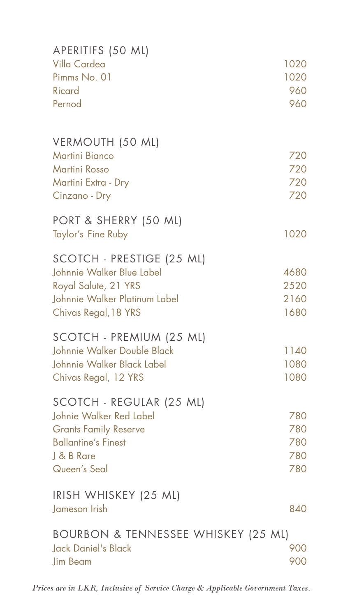| APERITIFS (50 ML)<br>Villa Cardea                         | 1020         |
|-----------------------------------------------------------|--------------|
| Pimms No. 01<br><b>Ricard</b>                             | 1020<br>960  |
| Pernod                                                    | 960          |
| VERMOUTH (50 ML)                                          |              |
| <b>Martini Bianco</b><br><b>Martini Rosso</b>             | 720<br>720   |
| Martini Extra - Dry                                       | 720          |
| Cinzano - Dry                                             | 720          |
| PORT & SHERRY (50 ML)<br>Taylor's Fine Ruby               | 1020         |
| SCOTCH - PRESTIGE (25 ML)                                 |              |
| Johnnie Walker Blue Label                                 | 4680         |
| Royal Salute, 21 YRS                                      | 2520         |
| Johnnie Walker Platinum Label                             | 2160<br>1680 |
| Chivas Regal, 18 YRS                                      |              |
| SCOTCH - PREMIUM (25 ML)                                  |              |
| Johnnie Walker Double Black<br>Johnnie Walker Black Label | 1140<br>1080 |
| Chivas Regal, 12 YRS                                      | 1080         |
| SCOTCH - REGULAR (25 ML)                                  |              |
| Johnie Walker Red Label                                   | 780          |
| <b>Grants Family Reserve</b>                              | 780          |
| <b>Ballantine's Finest</b>                                | 780          |
| J & B Rare<br>Queen's Seal                                | 780<br>780   |
|                                                           |              |
| IRISH WHISKEY (25 ML)                                     |              |
| Jameson Irish                                             | 840          |
| BOURBON & TENNESSEE WHISKEY (25 ML)                       |              |
| Jack Daniel's Black<br><b>Jim Beam</b>                    | 900<br>900   |
|                                                           |              |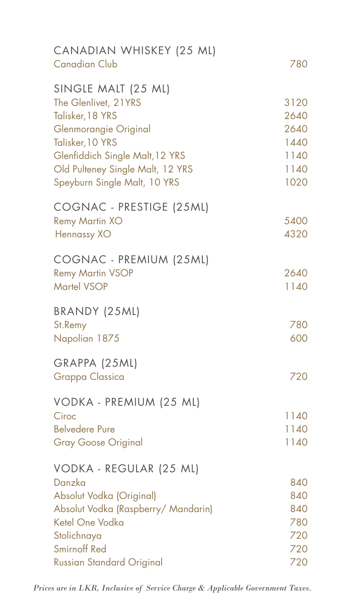| CANADIAN WHISKEY (25 ML)<br><b>Canadian Club</b>                                                                                                                                    | 780                                          |
|-------------------------------------------------------------------------------------------------------------------------------------------------------------------------------------|----------------------------------------------|
| SINGLE MALT (25 ML)<br>The Glenlivet, 21YRS<br>Talisker, 18 YRS<br>Glenmorangie Original<br>Talisker, 10 YRS<br>Glenfiddich Single Malt, 12 YRS<br>Old Pulteney Single Malt, 12 YRS | 3120<br>2640<br>2640<br>1440<br>1140<br>1140 |
| Speyburn Single Malt, 10 YRS                                                                                                                                                        | 1020                                         |
| COGNAC - PRESTIGE (25ML)<br><b>Remy Martin XO</b><br>Hennassy XO                                                                                                                    | 5400<br>4320                                 |
| COGNAC - PREMIUM (25ML)<br><b>Remy Martin VSOP</b><br><b>Martel VSOP</b>                                                                                                            | 2640<br>1140                                 |
| BRANDY (25ML)<br>St.Remy<br>Napolian 1875                                                                                                                                           | 780<br>600                                   |
| GRAPPA (25ML)<br><b>Grappa Classica</b>                                                                                                                                             | 720                                          |
| VODKA - PREMIUM (25 ML)<br>Ciroc<br><b>Belvedere Pure</b><br><b>Gray Goose Original</b>                                                                                             | 1140<br>1140<br>1140                         |
| VODKA - REGULAR (25 ML)<br>Danzka<br>Absolut Vodka (Original)<br>Absolut Vodka (Raspberry/ Mandarin)<br>Ketel One Vodka<br>Stolichnaya<br><b>Smirnoff Red</b>                       | 840<br>840<br>840<br>780<br>720<br>720       |
| <b>Russian Standard Original</b>                                                                                                                                                    | 720                                          |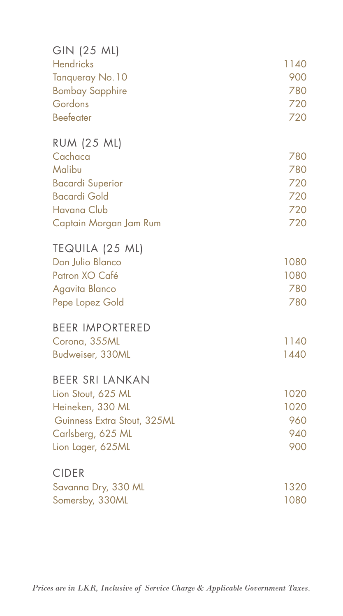| GIN (25 ML)                 |      |
|-----------------------------|------|
| <b>Hendricks</b>            | 1140 |
| Tanqueray No. 10            | 900  |
| <b>Bombay Sapphire</b>      | 780  |
| Gordons                     | 720  |
| <b>Beefeater</b>            | 720  |
| <b>RUM (25 ML)</b>          |      |
| Cachaca                     | 780  |
| Malibu                      | 780  |
| <b>Bacardi Superior</b>     | 720  |
| <b>Bacardi Gold</b>         | 720  |
| <b>Havana Club</b>          | 720  |
| Captain Morgan Jam Rum      | 720  |
| TEQUILA (25 ML)             |      |
| Don Julio Blanco            | 1080 |
| Patron XO Café              | 1080 |
| Agavita Blanco              | 780  |
| Pepe Lopez Gold             | 780  |
| <b>BEER IMPORTERED</b>      |      |
| Corona, 355ML               | 1140 |
| Budweiser, 330ML            | 1440 |
| <b>BEER SRI LANKAN</b>      |      |
| Lion Stout, 625 ML          | 1020 |
| Heineken, 330 ML            | 1020 |
| Guinness Extra Stout, 325ML | 960  |
| Carlsberg, 625 ML           | 940  |
| Lion Lager, 625ML           | 900  |
| <b>CIDER</b>                |      |
| Savanna Dry, 330 ML         | 1320 |
| Somersby, 330ML             | 1080 |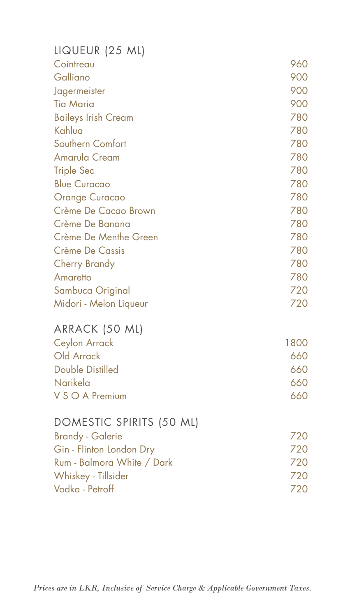| LIQUEUR (25 ML)            |      |
|----------------------------|------|
| Cointreau                  | 960  |
| Galliano                   | 900  |
| Jagermeister               | 900  |
| <b>Tia Maria</b>           | 900  |
| <b>Baileys Irish Cream</b> | 780  |
| Kahlua                     | 780  |
| Southern Comfort           | 780  |
| <b>Amarula Cream</b>       | 780  |
| <b>Triple Sec</b>          | 780  |
| <b>Blue Curacao</b>        | 780  |
| <b>Orange Curacao</b>      | 780  |
| Crème De Cacao Brown       | 780  |
| Crème De Banana            | 780  |
| Crème De Menthe Green      | 780  |
| <b>Crème De Cassis</b>     | 780  |
| <b>Cherry Brandy</b>       | 780  |
| Amaretto                   | 780  |
| Sambuca Original           | 720  |
| Midori - Melon Liqueur     | 720  |
| ARRACK (50 ML)             |      |
| <b>Ceylon Arrack</b>       | 1800 |
| Old Arrack                 | 660  |
| <b>Double Distilled</b>    | 660  |
| Narikela                   | 660  |
| V S O A Premium            | 660  |
| DOMESTIC SPIRITS (50 ML)   |      |
| <b>Brandy - Galerie</b>    | 720  |
| Gin - Flinton London Dry   | 720  |
| Rum - Balmora White / Dark | 720  |
| Whiskey - Tillsider        | 720  |
| Vodka - Petroff            | 720  |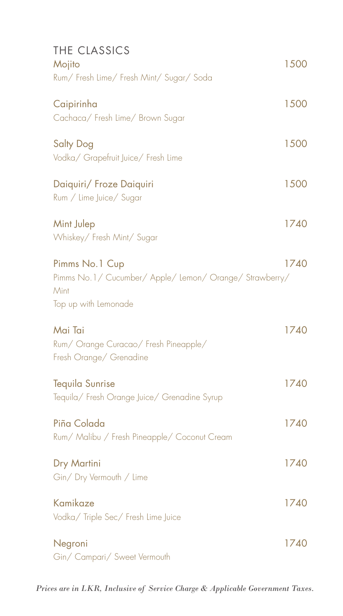| THE CLASSICS<br>Mojito<br>Rum/ Fresh Lime/ Fresh Mint/ Sugar/ Soda                                        | 1500 |
|-----------------------------------------------------------------------------------------------------------|------|
| Caipirinha<br>Cachaca/ Fresh Lime/ Brown Sugar                                                            | 1500 |
| <b>Salty Dog</b><br>Vodka/ Grapefruit Juice/ Fresh Lime                                                   | 1500 |
| Daiquiri/ Froze Daiquiri<br>Rum / Lime Juice/ Sugar                                                       | 1500 |
| Mint Julep<br>Whiskey/ Fresh Mint/ Sugar                                                                  | 1740 |
| Pimms No.1 Cup<br>Pimms No.1/ Cucumber/ Apple/ Lemon/ Orange/ Strawberry/<br>Mint<br>Top up with Lemonade | 1740 |
| Mai Tai<br>Rum/ Orange Curacao/ Fresh Pineapple/<br>Fresh Orange/ Grenadine                               | 1740 |
| <b>Tequila Sunrise</b><br>Tequila/ Fresh Orange Juice/ Grenadine Syrup                                    | 1740 |
| Piña Colada<br>Rum/ Malibu / Fresh Pineapple/ Coconut Cream                                               | 1740 |
| Dry Martini<br>Gin/Dry Vermouth / Lime                                                                    | 1740 |
| Kamikaze<br>Vodka/ Triple Sec/ Fresh Lime Juice                                                           | 1740 |
| Negroni<br>Gin/ Campari/ Sweet Vermouth                                                                   | 1740 |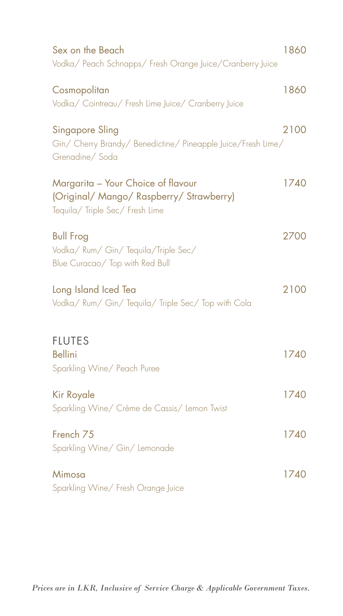| Sex on the Beach<br>Vodka/ Peach Schnapps/ Fresh Orange Juice/Cranberry Juice                                     | 1860 |
|-------------------------------------------------------------------------------------------------------------------|------|
| Cosmopolitan<br>Vodka/ Cointreau/ Fresh Lime Juice/ Cranberry Juice                                               | 1860 |
| Singapore Sling<br>Gin/ Cherry Brandy/ Benedictine/ Pineapple Juice/Fresh Lime/<br>Grenadine/Soda                 | 2100 |
| Margarita - Your Choice of flavour<br>(Original/ Mango/ Raspberry/ Strawberry)<br>Tequila/ Triple Sec/ Fresh Lime | 1740 |
| <b>Bull Frog</b><br>Vodka/ Rum/ Gin/ Tequila/Triple Sec/<br>Blue Curacao/ Top with Red Bull                       | 2700 |
| Long Island Iced Tea<br>Vodka/ Rum/ Gin/ Tequila/ Triple Sec/ Top with Cola                                       | 2100 |
| <b>FLUTES</b><br><b>Bellini</b><br>Sparkling Wine/ Peach Puree                                                    | 1740 |
| <b>Kir Royale</b><br>Sparkling Wine/ Crème de Cassis/ Lemon Twist                                                 | 1740 |
| French <sub>75</sub><br>Sparkling Wine/ Gin/ Lemonade                                                             | 1740 |
| Mimosa<br>Sparkling Wine/ Fresh Orange Juice                                                                      | 1740 |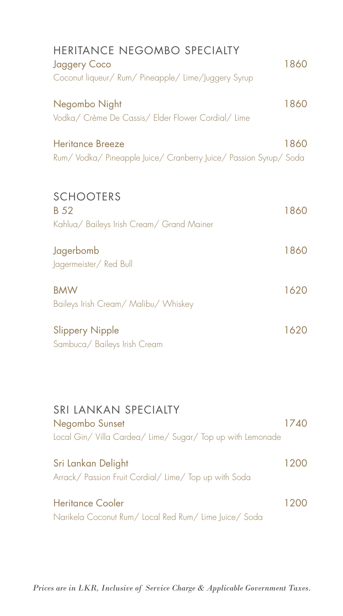| HERITANCE NEGOMBO SPECIALTY<br><b>Jaggery Coco</b><br>Coconut liqueur/ Rum/ Pineapple/ Lime/Juggery Syrup | 1860 |
|-----------------------------------------------------------------------------------------------------------|------|
| Negombo Night<br>Vodka/ Crème De Cassis/ Elder Flower Cordial/ Lime                                       | 1860 |
| <b>Heritance Breeze</b><br>Rum/Vodka/Pineapple Juice/Cranberry Juice/Passion Syrup/Soda                   | 1860 |
| <b>SCHOOTERS</b><br><b>B</b> 52<br>Kahlua/ Baileys Irish Cream/ Grand Mainer                              | 1860 |
| Jagerbomb<br>Jagermeister/ Red Bull                                                                       | 1860 |
| <b>BMW</b><br>Baileys Irish Cream/ Malibu/ Whiskey                                                        | 1620 |
| <b>Slippery Nipple</b><br>Sambuca/ Baileys Irish Cream                                                    | 1620 |
|                                                                                                           |      |
| SRI LANKAN SPECIALTY<br>Negombo Sunset<br>Local Gin/Villa Cardea/Lime/Sugar/Top up with Lemonade          | 1740 |
| Sri Lankan Delight<br>Arrack/ Passion Fruit Cordial/ Lime/ Top up with Soda                               | 1200 |
| <b>Heritance Cooler</b><br>Narikela Coconut Rum/ Local Red Rum/ Lime Juice/ Soda                          | 1200 |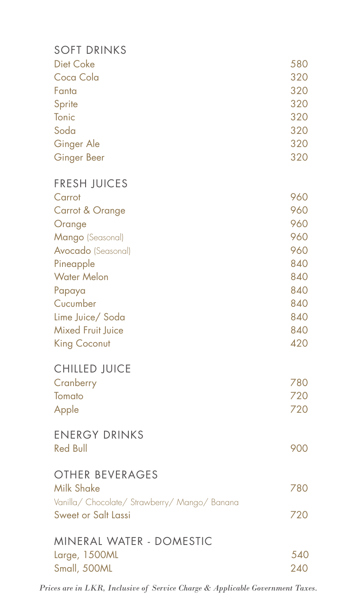| <b>SOFT DRINKS</b>                            |     |
|-----------------------------------------------|-----|
| <b>Diet Coke</b>                              | 580 |
| Coca Cola                                     | 320 |
| Fanta                                         | 320 |
| Sprite                                        | 320 |
| Tonic                                         | 320 |
| Soda                                          | 320 |
| Ginger Ale                                    | 320 |
| <b>Ginger Beer</b>                            | 320 |
| <b>FRESH JUICES</b>                           |     |
| Carrot                                        | 960 |
| Carrot & Orange                               | 960 |
| Orange                                        | 960 |
| Mango (Seasonal)                              | 960 |
| Avocado (Seasonal)                            | 960 |
| Pineapple                                     | 840 |
| <b>Water Melon</b>                            | 840 |
| Papaya                                        | 840 |
| Cucumber                                      | 840 |
| Lime Juice/ Soda                              | 840 |
| <b>Mixed Fruit Juice</b>                      | 840 |
| <b>King Coconut</b>                           | 420 |
| <b>CHILLED JUICE</b>                          |     |
| Cranberry                                     | 780 |
| Tomato                                        | 720 |
| Apple                                         | 720 |
| <b>ENERGY DRINKS</b>                          |     |
| <b>Red Bull</b>                               | 900 |
| <b>OTHER BEVERAGES</b>                        |     |
| <b>Milk Shake</b>                             | 780 |
| Vanilla/ Chocolate/ Strawberry/ Mango/ Banana |     |
| Sweet or Salt Lassi                           | 720 |
| MINERAL WATER - DOMESTIC                      |     |
| Large, 1500ML                                 | 540 |
| Small, 500ML                                  | 240 |